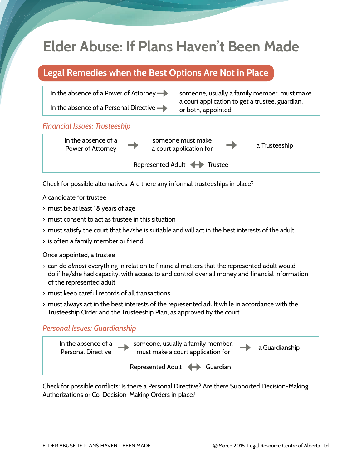# **Elder Abuse: If Plans Haven't Been Made**

# **Legal Remedies when the Best Options Are Not in Place**

In the absence of a Power of Attorney  $\rightarrow$  someone, usually a family member, must make a court application to get a trustee, guardian, In the absence of a Personal Directive  $\rightarrow$   $\mid$  or both, appointed.

### *Financial Issues: Trusteeship*



Check for possible alternatives: Are there any informal trusteeships in place?

A candidate for trustee

- > must be at least 18 years of age
- > must consent to act as trustee in this situation
- > must satisfy the court that he/she is suitable and will act in the best interests of the adult
- > is often a family member or friend

Once appointed, a trustee

- > can do *almost* everything in relation to financial matters that the represented adult would do if he/she had capacity, with access to and control over all money and financial information of the represented adult
- > must keep careful records of all transactions
- > must always act in the best interests of the represented adult while in accordance with the Trusteeship Order and the Trusteeship Plan, as approved by the court.

## *Personal Issues: Guardianship*



Check for possible conflicts: Is there a Personal Directive? Are there Supported Decision-Making Authorizations or Co-Decision-Making Orders in place?